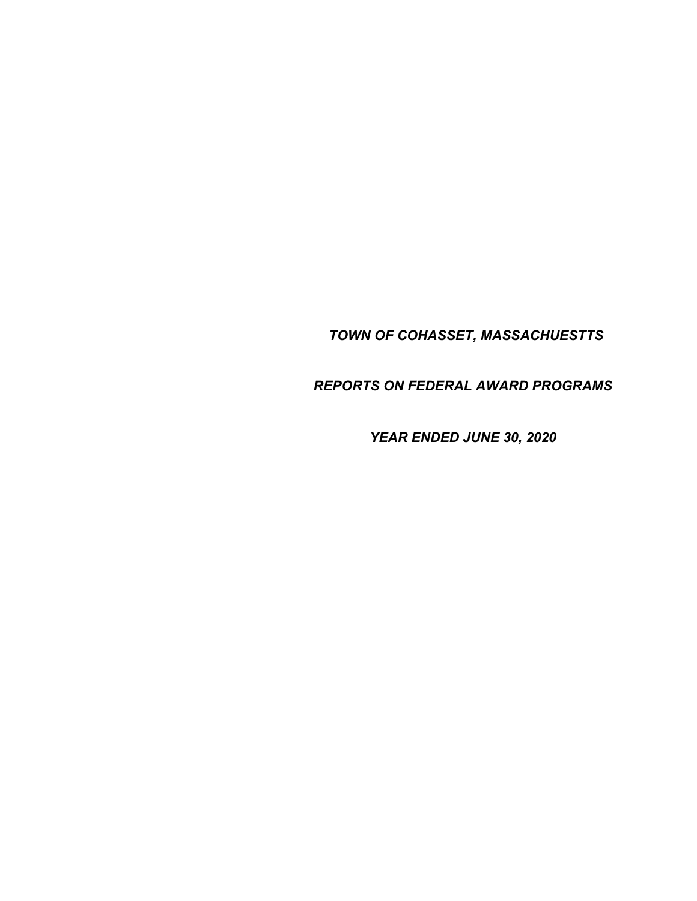*TOWN OF COHASSET, MASSACHUESTTS* 

*REPORTS ON FEDERAL AWARD PROGRAMS* 

*YEAR ENDED JUNE 30, 2020*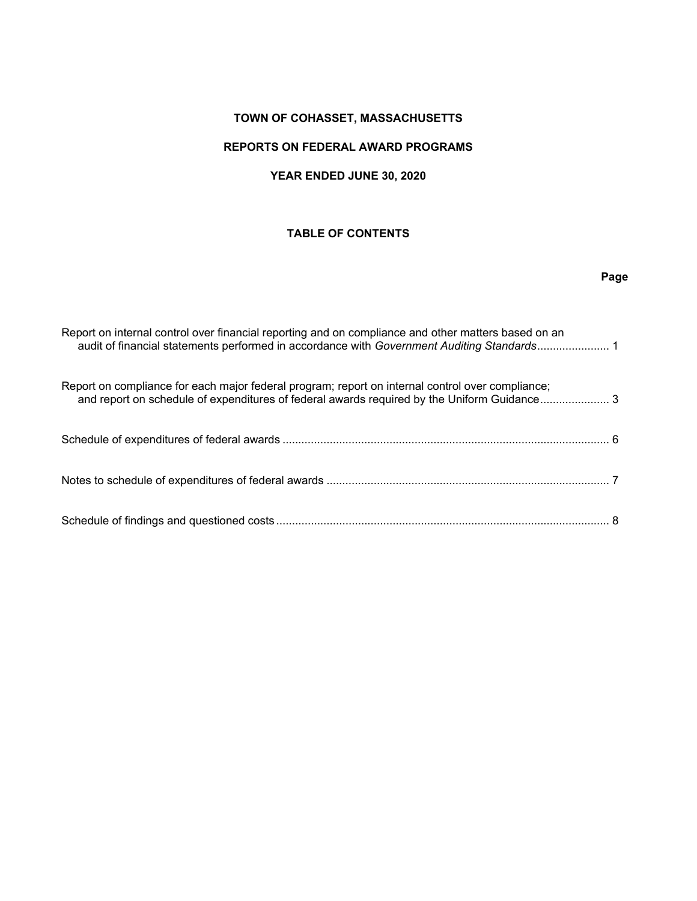# **TOWN OF COHASSET, MASSACHUSETTS**

# **REPORTS ON FEDERAL AWARD PROGRAMS**

# **YEAR ENDED JUNE 30, 2020**

# **TABLE OF CONTENTS**

# **Page**

| Report on internal control over financial reporting and on compliance and other matters based on an<br>audit of financial statements performed in accordance with Government Auditing Standards 1 |  |
|---------------------------------------------------------------------------------------------------------------------------------------------------------------------------------------------------|--|
| Report on compliance for each major federal program; report on internal control over compliance;<br>and report on schedule of expenditures of federal awards required by the Uniform Guidance3    |  |
|                                                                                                                                                                                                   |  |
|                                                                                                                                                                                                   |  |
|                                                                                                                                                                                                   |  |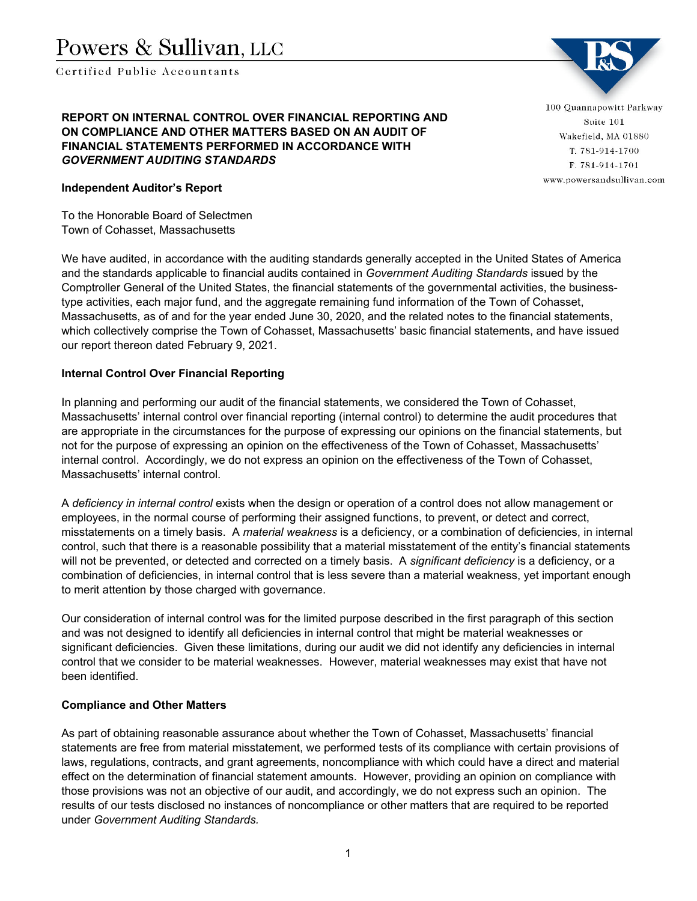Certified Publie Accountants

# **REPORT ON INTERNAL CONTROL OVER FINANCIAL REPORTING AND ON COMPLIANCE AND OTHER MATTERS BASED ON AN AUDIT OF FINANCIAL STATEMENTS PERFORMED IN ACCORDANCE WITH**  *GOVERNMENT AUDITING STANDARDS*

100 Quannapowitt Parkway Suite 101 Wakefield, MA 01880 T. 781-914-1700 F. 781-914-1701 www.powersandsullivan.com

## **Independent Auditor's Report**

To the Honorable Board of Selectmen Town of Cohasset, Massachusetts

We have audited, in accordance with the auditing standards generally accepted in the United States of America and the standards applicable to financial audits contained in *Government Auditing Standards* issued by the Comptroller General of the United States, the financial statements of the governmental activities, the businesstype activities, each major fund, and the aggregate remaining fund information of the Town of Cohasset, Massachusetts, as of and for the year ended June 30, 2020, and the related notes to the financial statements, which collectively comprise the Town of Cohasset, Massachusetts' basic financial statements, and have issued our report thereon dated February 9, 2021.

## **Internal Control Over Financial Reporting**

In planning and performing our audit of the financial statements, we considered the Town of Cohasset, Massachusetts' internal control over financial reporting (internal control) to determine the audit procedures that are appropriate in the circumstances for the purpose of expressing our opinions on the financial statements, but not for the purpose of expressing an opinion on the effectiveness of the Town of Cohasset, Massachusetts' internal control. Accordingly, we do not express an opinion on the effectiveness of the Town of Cohasset, Massachusetts' internal control.

A *deficiency in internal control* exists when the design or operation of a control does not allow management or employees, in the normal course of performing their assigned functions, to prevent, or detect and correct, misstatements on a timely basis. A *material weakness* is a deficiency, or a combination of deficiencies, in internal control, such that there is a reasonable possibility that a material misstatement of the entity's financial statements will not be prevented, or detected and corrected on a timely basis. A *significant deficiency* is a deficiency, or a combination of deficiencies, in internal control that is less severe than a material weakness, yet important enough to merit attention by those charged with governance.

Our consideration of internal control was for the limited purpose described in the first paragraph of this section and was not designed to identify all deficiencies in internal control that might be material weaknesses or significant deficiencies. Given these limitations, during our audit we did not identify any deficiencies in internal control that we consider to be material weaknesses. However, material weaknesses may exist that have not been identified.

#### **Compliance and Other Matters**

As part of obtaining reasonable assurance about whether the Town of Cohasset, Massachusetts' financial statements are free from material misstatement, we performed tests of its compliance with certain provisions of laws, regulations, contracts, and grant agreements, noncompliance with which could have a direct and material effect on the determination of financial statement amounts. However, providing an opinion on compliance with those provisions was not an objective of our audit, and accordingly, we do not express such an opinion. The results of our tests disclosed no instances of noncompliance or other matters that are required to be reported under *Government Auditing Standards.*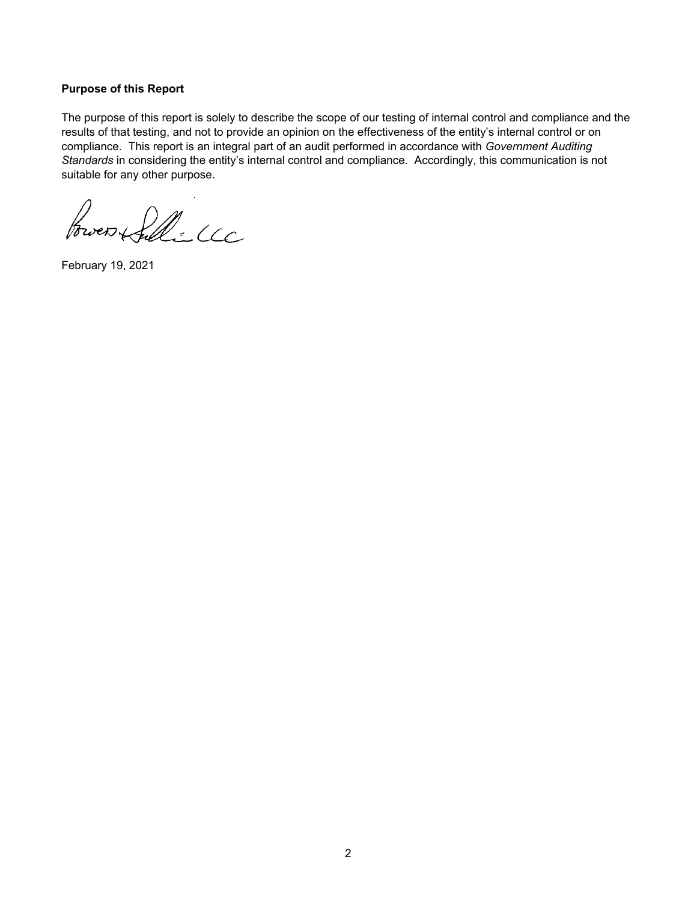### **Purpose of this Report**

The purpose of this report is solely to describe the scope of our testing of internal control and compliance and the results of that testing, and not to provide an opinion on the effectiveness of the entity's internal control or on compliance. This report is an integral part of an audit performed in accordance with *Government Auditing Standards* in considering the entity's internal control and compliance. Accordingly, this communication is not suitable for any other purpose.

Broen fille

February 19, 2021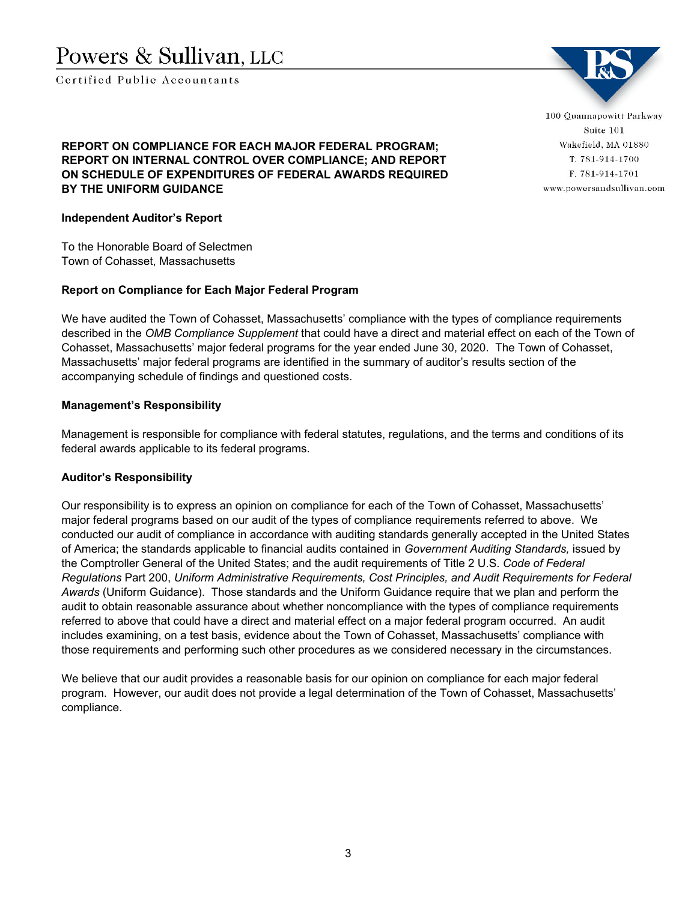Certified Public Accountants

100 Quannapowitt Parkway Suite 101 Wakefield, MA 01880 T. 781-914-1700 F. 781-914-1701 www.powersandsullivan.com

# **REPORT ON COMPLIANCE FOR EACH MAJOR FEDERAL PROGRAM; REPORT ON INTERNAL CONTROL OVER COMPLIANCE; AND REPORT ON SCHEDULE OF EXPENDITURES OF FEDERAL AWARDS REQUIRED BY THE UNIFORM GUIDANCE**

### **Independent Auditor's Report**

To the Honorable Board of Selectmen Town of Cohasset, Massachusetts

#### **Report on Compliance for Each Major Federal Program**

We have audited the Town of Cohasset, Massachusetts' compliance with the types of compliance requirements described in the *OMB Compliance Supplement* that could have a direct and material effect on each of the Town of Cohasset, Massachusetts' major federal programs for the year ended June 30, 2020. The Town of Cohasset, Massachusetts' major federal programs are identified in the summary of auditor's results section of the accompanying schedule of findings and questioned costs.

#### **Management's Responsibility**

Management is responsible for compliance with federal statutes, regulations, and the terms and conditions of its federal awards applicable to its federal programs.

## **Auditor's Responsibility**

Our responsibility is to express an opinion on compliance for each of the Town of Cohasset, Massachusetts' major federal programs based on our audit of the types of compliance requirements referred to above. We conducted our audit of compliance in accordance with auditing standards generally accepted in the United States of America; the standards applicable to financial audits contained in *Government Auditing Standards,* issued by the Comptroller General of the United States; and the audit requirements of Title 2 U.S. *Code of Federal Regulations* Part 200, *Uniform Administrative Requirements, Cost Principles, and Audit Requirements for Federal Awards* (Uniform Guidance). Those standards and the Uniform Guidance require that we plan and perform the audit to obtain reasonable assurance about whether noncompliance with the types of compliance requirements referred to above that could have a direct and material effect on a major federal program occurred. An audit includes examining, on a test basis, evidence about the Town of Cohasset, Massachusetts' compliance with those requirements and performing such other procedures as we considered necessary in the circumstances.

We believe that our audit provides a reasonable basis for our opinion on compliance for each major federal program. However, our audit does not provide a legal determination of the Town of Cohasset, Massachusetts' compliance.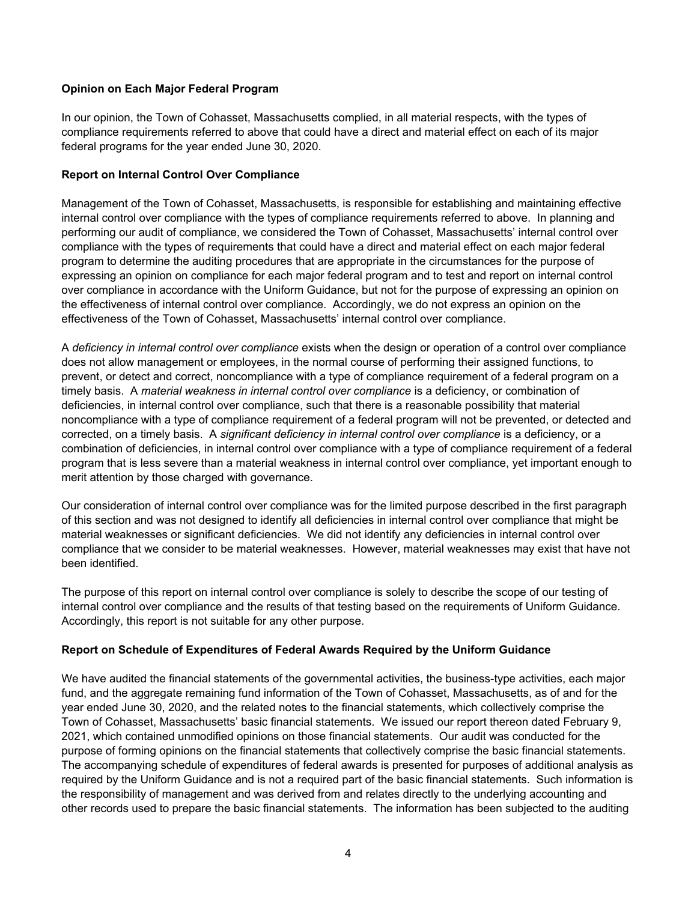## **Opinion on Each Major Federal Program**

In our opinion, the Town of Cohasset, Massachusetts complied, in all material respects, with the types of compliance requirements referred to above that could have a direct and material effect on each of its major federal programs for the year ended June 30, 2020.

## **Report on Internal Control Over Compliance**

Management of the Town of Cohasset, Massachusetts, is responsible for establishing and maintaining effective internal control over compliance with the types of compliance requirements referred to above. In planning and performing our audit of compliance, we considered the Town of Cohasset, Massachusetts' internal control over compliance with the types of requirements that could have a direct and material effect on each major federal program to determine the auditing procedures that are appropriate in the circumstances for the purpose of expressing an opinion on compliance for each major federal program and to test and report on internal control over compliance in accordance with the Uniform Guidance, but not for the purpose of expressing an opinion on the effectiveness of internal control over compliance. Accordingly, we do not express an opinion on the effectiveness of the Town of Cohasset, Massachusetts' internal control over compliance.

A *deficiency in internal control over compliance* exists when the design or operation of a control over compliance does not allow management or employees, in the normal course of performing their assigned functions, to prevent, or detect and correct, noncompliance with a type of compliance requirement of a federal program on a timely basis. A *material weakness in internal control over compliance* is a deficiency, or combination of deficiencies, in internal control over compliance, such that there is a reasonable possibility that material noncompliance with a type of compliance requirement of a federal program will not be prevented, or detected and corrected, on a timely basis. A *significant deficiency in internal control over compliance* is a deficiency, or a combination of deficiencies, in internal control over compliance with a type of compliance requirement of a federal program that is less severe than a material weakness in internal control over compliance, yet important enough to merit attention by those charged with governance.

Our consideration of internal control over compliance was for the limited purpose described in the first paragraph of this section and was not designed to identify all deficiencies in internal control over compliance that might be material weaknesses or significant deficiencies. We did not identify any deficiencies in internal control over compliance that we consider to be material weaknesses. However, material weaknesses may exist that have not been identified.

The purpose of this report on internal control over compliance is solely to describe the scope of our testing of internal control over compliance and the results of that testing based on the requirements of Uniform Guidance. Accordingly, this report is not suitable for any other purpose.

## **Report on Schedule of Expenditures of Federal Awards Required by the Uniform Guidance**

We have audited the financial statements of the governmental activities, the business-type activities, each major fund, and the aggregate remaining fund information of the Town of Cohasset, Massachusetts, as of and for the year ended June 30, 2020, and the related notes to the financial statements, which collectively comprise the Town of Cohasset, Massachusetts' basic financial statements. We issued our report thereon dated February 9, 2021, which contained unmodified opinions on those financial statements. Our audit was conducted for the purpose of forming opinions on the financial statements that collectively comprise the basic financial statements. The accompanying schedule of expenditures of federal awards is presented for purposes of additional analysis as required by the Uniform Guidance and is not a required part of the basic financial statements. Such information is the responsibility of management and was derived from and relates directly to the underlying accounting and other records used to prepare the basic financial statements. The information has been subjected to the auditing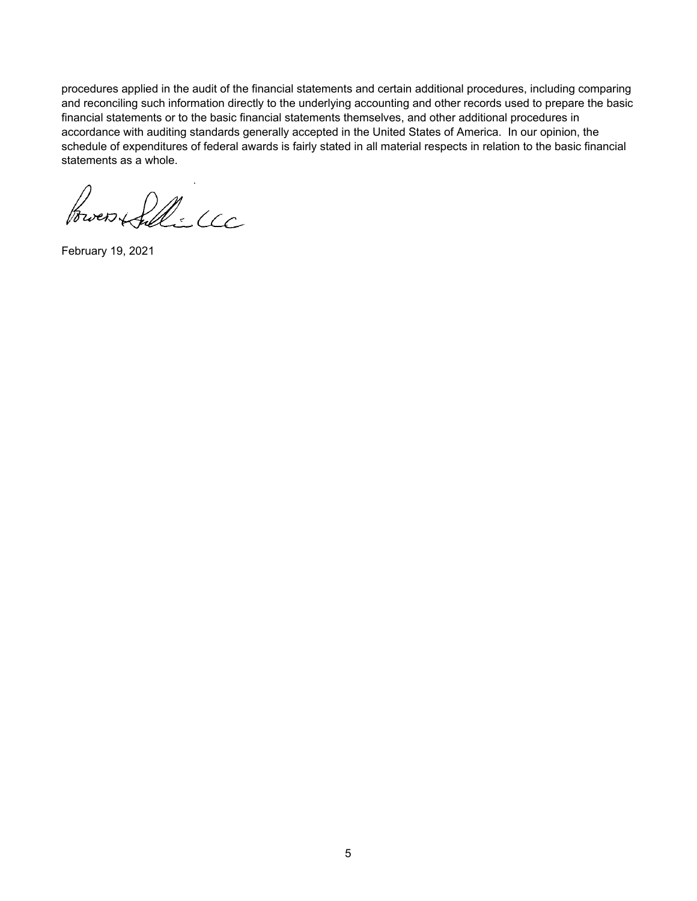procedures applied in the audit of the financial statements and certain additional procedures, including comparing and reconciling such information directly to the underlying accounting and other records used to prepare the basic financial statements or to the basic financial statements themselves, and other additional procedures in accordance with auditing standards generally accepted in the United States of America. In our opinion, the schedule of expenditures of federal awards is fairly stated in all material respects in relation to the basic financial statements as a whole.

Power Silli CCC

February 19, 2021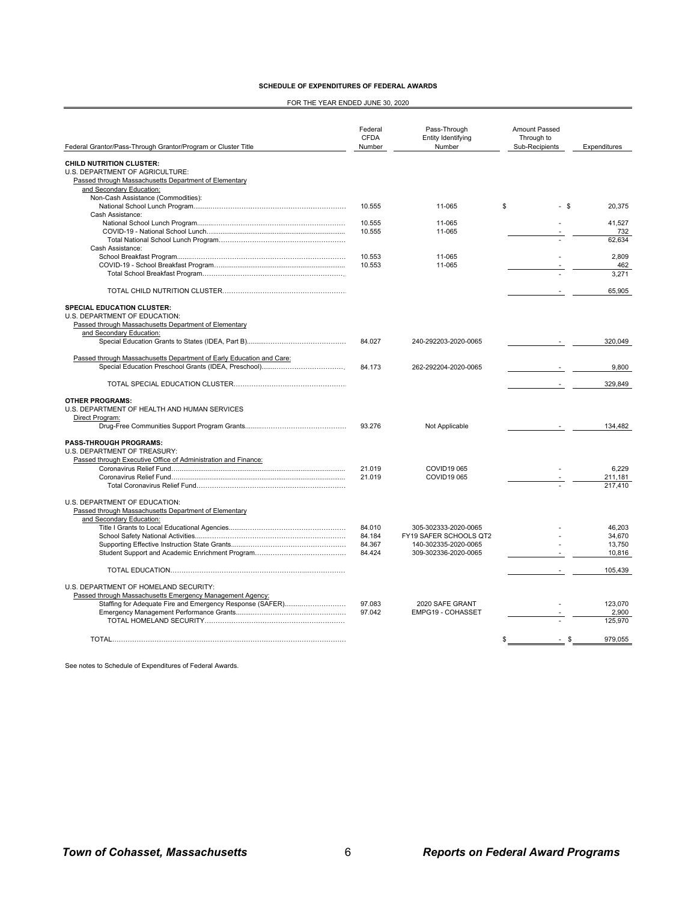| <b>SCHEDULE OF EXPENDITURES OF FEDERAL AWARDS</b> |  |  |  |  |  |  |  |
|---------------------------------------------------|--|--|--|--|--|--|--|
|---------------------------------------------------|--|--|--|--|--|--|--|

FOR THE YEAR ENDED JUNE 30, 2020

|                                                                                                                             | Federal<br><b>CFDA</b> | Pass-Through<br>Entity Identifying             | Amount Passed<br>Through to |                    |
|-----------------------------------------------------------------------------------------------------------------------------|------------------------|------------------------------------------------|-----------------------------|--------------------|
| Federal Grantor/Pass-Through Grantor/Program or Cluster Title                                                               | Number                 | Number                                         | Sub-Recipients              | Expenditures       |
| <b>CHILD NUTRITION CLUSTER:</b><br>U.S. DEPARTMENT OF AGRICULTURE:<br>Passed through Massachusetts Department of Elementary |                        |                                                |                             |                    |
| and Secondary Education:                                                                                                    |                        |                                                |                             |                    |
| Non-Cash Assistance (Commodities):                                                                                          | 10.555                 | 11-065                                         | \$<br>- \$                  | 20,375             |
| Cash Assistance:                                                                                                            |                        |                                                |                             |                    |
|                                                                                                                             | 10.555                 | 11-065                                         |                             | 41,527             |
|                                                                                                                             | 10.555                 | 11-065                                         |                             | 732                |
|                                                                                                                             |                        |                                                |                             | 62.634             |
| Cash Assistance:                                                                                                            |                        |                                                |                             |                    |
|                                                                                                                             | 10.553                 | 11-065                                         |                             | 2,809              |
|                                                                                                                             | 10.553                 | 11-065                                         |                             | 462                |
|                                                                                                                             |                        |                                                |                             | 3.271              |
|                                                                                                                             |                        |                                                |                             | 65,905             |
| <b>SPECIAL EDUCATION CLUSTER:</b>                                                                                           |                        |                                                |                             |                    |
| U.S. DEPARTMENT OF EDUCATION:                                                                                               |                        |                                                |                             |                    |
| Passed through Massachusetts Department of Elementary                                                                       |                        |                                                |                             |                    |
| and Secondary Education:                                                                                                    |                        |                                                |                             |                    |
|                                                                                                                             | 84.027                 | 240-292203-2020-0065                           |                             | 320.049            |
| Passed through Massachusetts Department of Early Education and Care:                                                        |                        |                                                |                             |                    |
|                                                                                                                             | 84.173                 | 262-292204-2020-0065                           |                             | 9.800              |
|                                                                                                                             |                        |                                                | $\sim$                      | 329,849            |
| <b>OTHER PROGRAMS:</b>                                                                                                      |                        |                                                |                             |                    |
| U.S. DEPARTMENT OF HEALTH AND HUMAN SERVICES                                                                                |                        |                                                |                             |                    |
| Direct Program:                                                                                                             |                        |                                                |                             |                    |
|                                                                                                                             | 93.276                 | Not Applicable                                 |                             | 134.482            |
| <b>PASS-THROUGH PROGRAMS:</b>                                                                                               |                        |                                                |                             |                    |
| U.S. DEPARTMENT OF TREASURY:                                                                                                |                        |                                                |                             |                    |
| Passed through Executive Office of Administration and Finance:                                                              |                        |                                                |                             |                    |
|                                                                                                                             | 21.019                 | COVID19 065                                    |                             | 6.229              |
|                                                                                                                             | 21.019                 | <b>COVID19 065</b>                             |                             | 211,181<br>217,410 |
|                                                                                                                             |                        |                                                |                             |                    |
| U.S. DEPARTMENT OF EDUCATION:                                                                                               |                        |                                                |                             |                    |
| Passed through Massachusetts Department of Elementary                                                                       |                        |                                                |                             |                    |
| and Secondary Education:                                                                                                    |                        |                                                |                             |                    |
|                                                                                                                             | 84.010                 | 305-302333-2020-0065                           |                             | 46.203             |
|                                                                                                                             | 84.184<br>84.367       | FY19 SAFER SCHOOLS QT2<br>140-302335-2020-0065 |                             | 34.670<br>13,750   |
|                                                                                                                             | 84.424                 | 309-302336-2020-0065                           |                             | 10,816             |
|                                                                                                                             |                        |                                                |                             |                    |
|                                                                                                                             |                        |                                                |                             | 105,439            |
| U.S. DEPARTMENT OF HOMELAND SECURITY:                                                                                       |                        |                                                |                             |                    |
| Passed through Massachusetts Emergency Management Agency:                                                                   |                        |                                                |                             |                    |
| Staffing for Adequate Fire and Emergency Response (SAFER)                                                                   | 97.083                 | 2020 SAFE GRANT                                |                             | 123.070            |
|                                                                                                                             | 97.042                 | EMPG19 - COHASSET                              |                             | 2,900<br>125.970   |
|                                                                                                                             |                        |                                                |                             |                    |
|                                                                                                                             |                        |                                                | S<br>- \$                   | 979,055            |

See notes to Schedule of Expenditures of Federal Awards.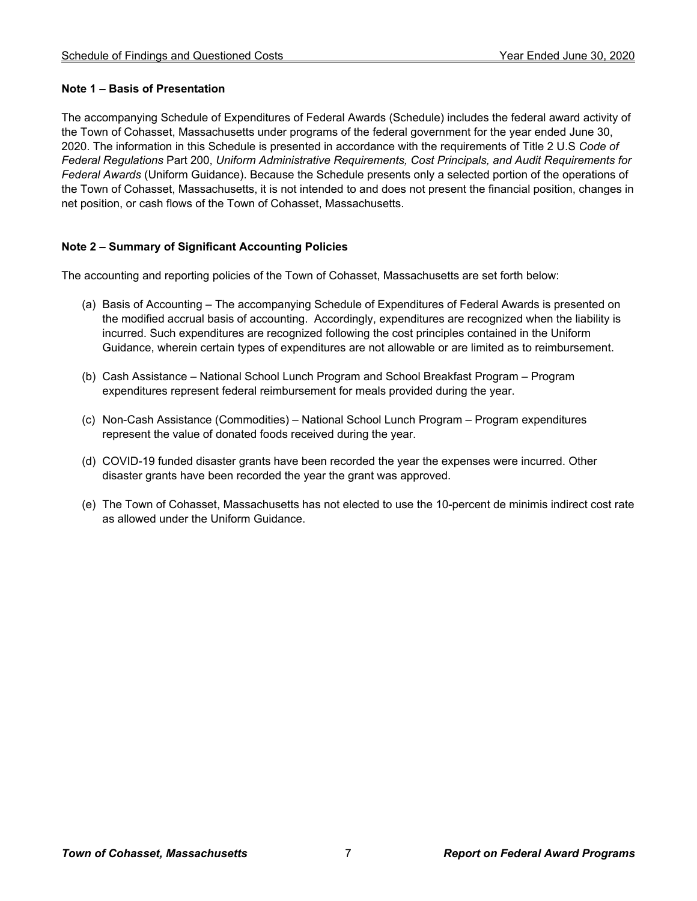# **Note 1 – Basis of Presentation**

The accompanying Schedule of Expenditures of Federal Awards (Schedule) includes the federal award activity of the Town of Cohasset, Massachusetts under programs of the federal government for the year ended June 30, 2020. The information in this Schedule is presented in accordance with the requirements of Title 2 U.S *Code of Federal Regulations* Part 200, *Uniform Administrative Requirements, Cost Principals, and Audit Requirements for Federal Awards* (Uniform Guidance). Because the Schedule presents only a selected portion of the operations of the Town of Cohasset, Massachusetts, it is not intended to and does not present the financial position, changes in net position, or cash flows of the Town of Cohasset, Massachusetts.

# **Note 2 – Summary of Significant Accounting Policies**

The accounting and reporting policies of the Town of Cohasset, Massachusetts are set forth below:

- (a) Basis of Accounting The accompanying Schedule of Expenditures of Federal Awards is presented on the modified accrual basis of accounting. Accordingly, expenditures are recognized when the liability is incurred. Such expenditures are recognized following the cost principles contained in the Uniform Guidance, wherein certain types of expenditures are not allowable or are limited as to reimbursement.
- (b) Cash Assistance National School Lunch Program and School Breakfast Program Program expenditures represent federal reimbursement for meals provided during the year.
- (c) Non-Cash Assistance (Commodities) National School Lunch Program Program expenditures represent the value of donated foods received during the year.
- (d) COVID-19 funded disaster grants have been recorded the year the expenses were incurred. Other disaster grants have been recorded the year the grant was approved.
- (e) The Town of Cohasset, Massachusetts has not elected to use the 10-percent de minimis indirect cost rate as allowed under the Uniform Guidance.